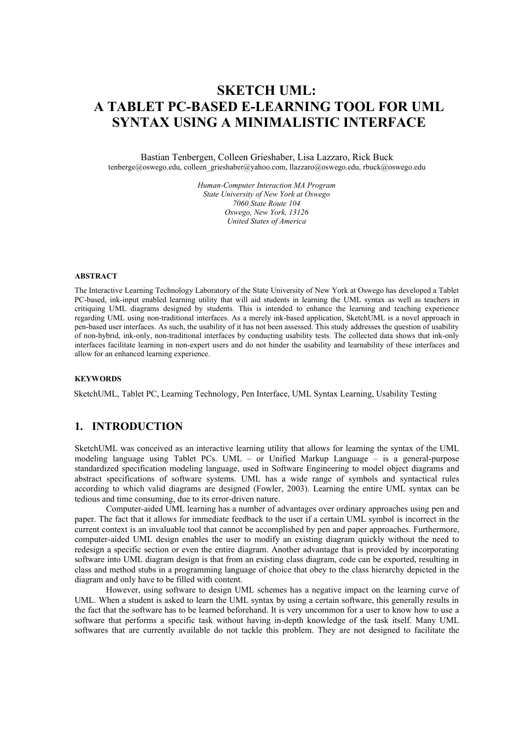# **SKETCH UML: A TABLET PC-BASED E-LEARNING TOOL FOR UML SYNTAX USING A MINIMALISTIC INTERFACE**

## Bastian Tenbergen, Colleen Grieshaber, Lisa Lazzaro, Rick Buck

tenberge@oswego.edu, colleen\_grieshaber@yahoo.com, llazzaro@oswego.edu, rbuck@oswego.edu

*Human-Computer Interaction MA Program State University of New York at Oswego 7060 State Route 104 Oswego, New York, 13126 United States of America*

#### **ABSTRACT**

The Interactive Learning Technology Laboratory of the State University of New York at Oswego has developed a Tablet PC-based, ink-input enabled learning utility that will aid students in learning the UML syntax as well as teachers in critiquing UML diagrams designed by students. This is intended to enhance the learning and teaching experience regarding UML using non-traditional interfaces. As a merely ink-based application, SketchUML is a novel approach in pen-based user interfaces. As such, the usability of it has not been assessed. This study addresses the question of usability of non-hybrid, ink-only, non-traditional interfaces by conducting usability tests. The collected data shows that ink-only interfaces facilitate learning in non-expert users and do not hinder the usability and learnability of these interfaces and allow for an enhanced learning experience.

#### **KEYWORDS**

SketchUML, Tablet PC, Learning Technology, Pen Interface, UML Syntax Learning, Usability Testing

### **1. INTRODUCTION**

SketchUML was conceived as an interactive learning utility that allows for learning the syntax of the UML modeling language using Tablet PCs. UML – or Unified Markup Language – is a general-purpose standardized specification modeling language, used in Software Engineering to model object diagrams and abstract specifications of software systems. UML has a wide range of symbols and syntactical rules according to which valid diagrams are designed (Fowler, 2003). Learning the entire UML syntax can be tedious and time consuming, due to its error-driven nature.

Computer-aided UML learning has a number of advantages over ordinary approaches using pen and paper. The fact that it allows for immediate feedback to the user if a certain UML symbol is incorrect in the current context is an invaluable tool that cannot be accomplished by pen and paper approaches. Furthermore, computer-aided UML design enables the user to modify an existing diagram quickly without the need to redesign a specific section or even the entire diagram. Another advantage that is provided by incorporating software into UML diagram design is that from an existing class diagram, code can be exported, resulting in class and method stubs in a programming language of choice that obey to the class hierarchy depicted in the diagram and only have to be filled with content.

However, using software to design UML schemes has a negative impact on the learning curve of UML. When a student is asked to learn the UML syntax by using a certain software, this generally results in the fact that the software has to be learned beforehand. It is very uncommon for a user to know how to use a software that performs a specific task without having in-depth knowledge of the task itself. Many UML softwares that are currently available do not tackle this problem. They are not designed to facilitate the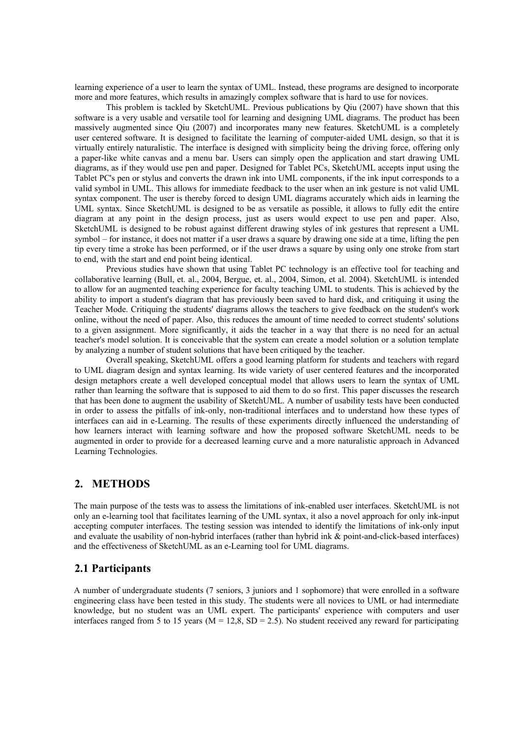learning experience of a user to learn the syntax of UML. Instead, these programs are designed to incorporate more and more features, which results in amazingly complex software that is hard to use for novices.

This problem is tackled by SketchUML. Previous publications by Qiu (2007) have shown that this software is a very usable and versatile tool for learning and designing UML diagrams. The product has been massively augmented since Qiu (2007) and incorporates many new features. SketchUML is a completely user centered software. It is designed to facilitate the learning of computer-aided UML design, so that it is virtually entirely naturalistic. The interface is designed with simplicity being the driving force, offering only a paper-like white canvas and a menu bar. Users can simply open the application and start drawing UML diagrams, as if they would use pen and paper. Designed for Tablet PCs, SketchUML accepts input using the Tablet PC's pen or stylus and converts the drawn ink into UML components, if the ink input corresponds to a valid symbol in UML. This allows for immediate feedback to the user when an ink gesture is not valid UML syntax component. The user is thereby forced to design UML diagrams accurately which aids in learning the UML syntax. Since SketchUML is designed to be as versatile as possible, it allows to fully edit the entire diagram at any point in the design process, just as users would expect to use pen and paper. Also, SketchUML is designed to be robust against different drawing styles of ink gestures that represent a UML symbol – for instance, it does not matter if a user draws a square by drawing one side at a time, lifting the pen tip every time a stroke has been performed, or if the user draws a square by using only one stroke from start to end, with the start and end point being identical.

Previous studies have shown that using Tablet PC technology is an effective tool for teaching and collaborative learning (Bull, et. al., 2004, Bergue, et. al., 2004, Simon, et al. 2004). SketchUML is intended to allow for an augmented teaching experience for faculty teaching UML to students. This is achieved by the ability to import a student's diagram that has previously been saved to hard disk, and critiquing it using the Teacher Mode. Critiquing the students' diagrams allows the teachers to give feedback on the student's work online, without the need of paper. Also, this reduces the amount of time needed to correct students' solutions to a given assignment. More significantly, it aids the teacher in a way that there is no need for an actual teacher's model solution. It is conceivable that the system can create a model solution or a solution template by analyzing a number of student solutions that have been critiqued by the teacher.

Overall speaking, SketchUML offers a good learning platform for students and teachers with regard to UML diagram design and syntax learning. Its wide variety of user centered features and the incorporated design metaphors create a well developed conceptual model that allows users to learn the syntax of UML rather than learning the software that is supposed to aid them to do so first. This paper discusses the research that has been done to augment the usability of SketchUML. A number of usability tests have been conducted in order to assess the pitfalls of ink-only, non-traditional interfaces and to understand how these types of interfaces can aid in e-Learning. The results of these experiments directly influenced the understanding of how learners interact with learning software and how the proposed software SketchUML needs to be augmented in order to provide for a decreased learning curve and a more naturalistic approach in Advanced Learning Technologies.

#### **2. METHODS**

The main purpose of the tests was to assess the limitations of ink-enabled user interfaces. SketchUML is not only an e-learning tool that facilitates learning of the UML syntax, it also a novel approach for only ink-input accepting computer interfaces. The testing session was intended to identify the limitations of ink-only input and evaluate the usability of non-hybrid interfaces (rather than hybrid ink & point-and-click-based interfaces) and the effectiveness of SketchUML as an e-Learning tool for UML diagrams.

#### **2.1 Participants**

A number of undergraduate students (7 seniors, 3 juniors and 1 sophomore) that were enrolled in a software engineering class have been tested in this study. The students were all novices to UML or had intermediate knowledge, but no student was an UML expert. The participants' experience with computers and user interfaces ranged from 5 to 15 years ( $M = 12,8$ ,  $SD = 2.5$ ). No student received any reward for participating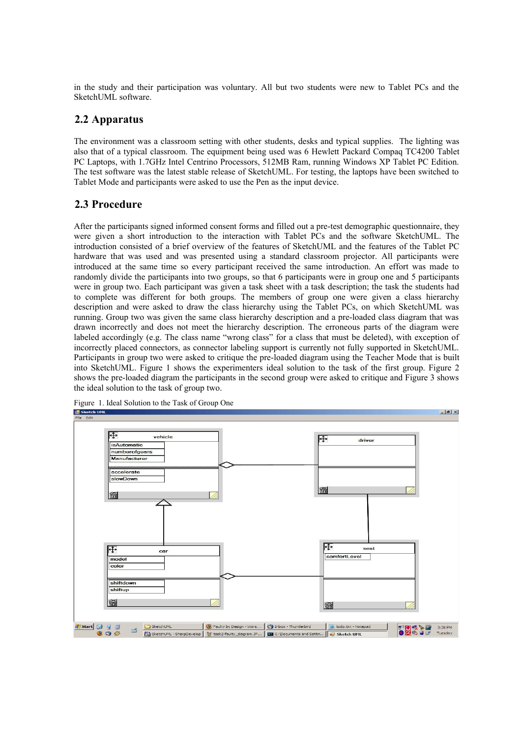in the study and their participation was voluntary. All but two students were new to Tablet PCs and the SketchUML software.

### **2.2 Apparatus**

The environment was a classroom setting with other students, desks and typical supplies. The lighting was also that of a typical classroom. The equipment being used was 6 Hewlett Packard Compaq TC4200 Tablet PC Laptops, with 1.7GHz Intel Centrino Processors, 512MB Ram, running Windows XP Tablet PC Edition. The test software was the latest stable release of SketchUML. For testing, the laptops have been switched to Tablet Mode and participants were asked to use the Pen as the input device.

## **2.3 Procedure**

After the participants signed informed consent forms and filled out a pre-test demographic questionnaire, they were given a short introduction to the interaction with Tablet PCs and the software SketchUML. The introduction consisted of a brief overview of the features of SketchUML and the features of the Tablet PC hardware that was used and was presented using a standard classroom projector. All participants were introduced at the same time so every participant received the same introduction. An effort was made to randomly divide the participants into two groups, so that 6 participants were in group one and 5 participants were in group two. Each participant was given a task sheet with a task description; the task the students had to complete was different for both groups. The members of group one were given a class hierarchy description and were asked to draw the class hierarchy using the Tablet PCs, on which SketchUML was running. Group two was given the same class hierarchy description and a pre-loaded class diagram that was drawn incorrectly and does not meet the hierarchy description. The erroneous parts of the diagram were labeled accordingly (e.g. The class name "wrong class" for a class that must be deleted), with exception of incorrectly placed connectors, as connector labeling support is currently not fully supported in SketchUML. Participants in group two were asked to critique the pre-loaded diagram using the Teacher Mode that is built into SketchUML. Figure 1 shows the experimenters ideal solution to the task of the first group. Figure 2 shows the pre-loaded diagram the participants in the second group were asked to critique and Figure 3 shows the ideal solution to the task of group two.



Figure 1. Ideal Solution to the Task of Group One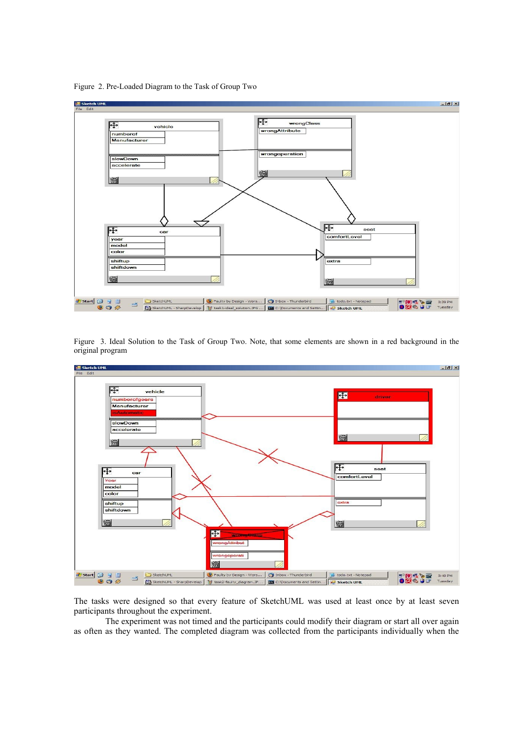



Figure 3. Ideal Solution to the Task of Group Two. Note, that some elements are shown in a red background in the original program



The tasks were designed so that every feature of SketchUML was used at least once by at least seven participants throughout the experiment.

The experiment was not timed and the participants could modify their diagram or start all over again as often as they wanted. The completed diagram was collected from the participants individually when the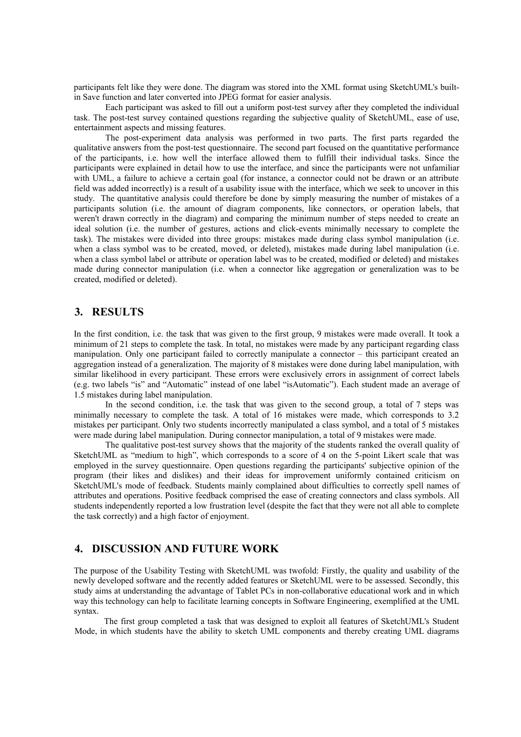participants felt like they were done. The diagram was stored into the XML format using SketchUML's builtin Save function and later converted into JPEG format for easier analysis.

Each participant was asked to fill out a uniform post-test survey after they completed the individual task. The post-test survey contained questions regarding the subjective quality of SketchUML, ease of use, entertainment aspects and missing features.

The post-experiment data analysis was performed in two parts. The first parts regarded the qualitative answers from the post-test questionnaire. The second part focused on the quantitative performance of the participants, i.e. how well the interface allowed them to fulfill their individual tasks. Since the participants were explained in detail how to use the interface, and since the participants were not unfamiliar with UML, a failure to achieve a certain goal (for instance, a connector could not be drawn or an attribute field was added incorrectly) is a result of a usability issue with the interface, which we seek to uncover in this study. The quantitative analysis could therefore be done by simply measuring the number of mistakes of a participants solution (i.e. the amount of diagram components, like connectors, or operation labels, that weren't drawn correctly in the diagram) and comparing the minimum number of steps needed to create an ideal solution (i.e. the number of gestures, actions and click-events minimally necessary to complete the task). The mistakes were divided into three groups: mistakes made during class symbol manipulation (i.e. when a class symbol was to be created, moved, or deleted), mistakes made during label manipulation (i.e. when a class symbol label or attribute or operation label was to be created, modified or deleted) and mistakes made during connector manipulation (i.e. when a connector like aggregation or generalization was to be created, modified or deleted).

#### **3. RESULTS**

In the first condition, i.e. the task that was given to the first group, 9 mistakes were made overall. It took a minimum of 21 steps to complete the task. In total, no mistakes were made by any participant regarding class manipulation. Only one participant failed to correctly manipulate a connector – this participant created an aggregation instead of a generalization. The majority of 8 mistakes were done during label manipulation, with similar likelihood in every participant. These errors were exclusively errors in assignment of correct labels (e.g. two labels "is" and "Automatic" instead of one label "isAutomatic"). Each student made an average of 1.5 mistakes during label manipulation.

In the second condition, i.e. the task that was given to the second group, a total of 7 steps was minimally necessary to complete the task. A total of 16 mistakes were made, which corresponds to 3.2 mistakes per participant. Only two students incorrectly manipulated a class symbol, and a total of 5 mistakes were made during label manipulation. During connector manipulation, a total of 9 mistakes were made.

The qualitative post-test survey shows that the majority of the students ranked the overall quality of SketchUML as "medium to high", which corresponds to a score of 4 on the 5-point Likert scale that was employed in the survey questionnaire. Open questions regarding the participants' subjective opinion of the program (their likes and dislikes) and their ideas for improvement uniformly contained criticism on SketchUML's mode of feedback. Students mainly complained about difficulties to correctly spell names of attributes and operations. Positive feedback comprised the ease of creating connectors and class symbols. All students independently reported a low frustration level (despite the fact that they were not all able to complete the task correctly) and a high factor of enjoyment.

## **4. DISCUSSION AND FUTURE WORK**

The purpose of the Usability Testing with SketchUML was twofold: Firstly, the quality and usability of the newly developed software and the recently added features or SketchUML were to be assessed. Secondly, this study aims at understanding the advantage of Tablet PCs in non-collaborative educational work and in which way this technology can help to facilitate learning concepts in Software Engineering, exemplified at the UML syntax.

The first group completed a task that was designed to exploit all features of SketchUML's Student Mode, in which students have the ability to sketch UML components and thereby creating UML diagrams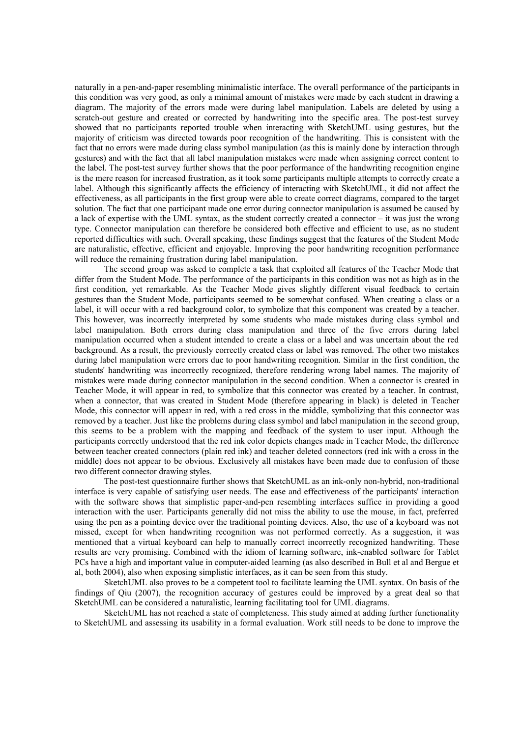naturally in a pen-and-paper resembling minimalistic interface. The overall performance of the participants in this condition was very good, as only a minimal amount of mistakes were made by each student in drawing a diagram. The majority of the errors made were during label manipulation. Labels are deleted by using a scratch-out gesture and created or corrected by handwriting into the specific area. The post-test survey showed that no participants reported trouble when interacting with SketchUML using gestures, but the majority of criticism was directed towards poor recognition of the handwriting. This is consistent with the fact that no errors were made during class symbol manipulation (as this is mainly done by interaction through gestures) and with the fact that all label manipulation mistakes were made when assigning correct content to the label. The post-test survey further shows that the poor performance of the handwriting recognition engine is the mere reason for increased frustration, as it took some participants multiple attempts to correctly create a label. Although this significantly affects the efficiency of interacting with SketchUML, it did not affect the effectiveness, as all participants in the first group were able to create correct diagrams, compared to the target solution. The fact that one participant made one error during connector manipulation is assumed be caused by a lack of expertise with the UML syntax, as the student correctly created a connector – it was just the wrong type. Connector manipulation can therefore be considered both effective and efficient to use, as no student reported difficulties with such. Overall speaking, these findings suggest that the features of the Student Mode are naturalistic, effective, efficient and enjoyable. Improving the poor handwriting recognition performance will reduce the remaining frustration during label manipulation.

The second group was asked to complete a task that exploited all features of the Teacher Mode that differ from the Student Mode. The performance of the participants in this condition was not as high as in the first condition, yet remarkable. As the Teacher Mode gives slightly different visual feedback to certain gestures than the Student Mode, participants seemed to be somewhat confused. When creating a class or a label, it will occur with a red background color, to symbolize that this component was created by a teacher. This however, was incorrectly interpreted by some students who made mistakes during class symbol and label manipulation. Both errors during class manipulation and three of the five errors during label manipulation occurred when a student intended to create a class or a label and was uncertain about the red background. As a result, the previously correctly created class or label was removed. The other two mistakes during label manipulation were errors due to poor handwriting recognition. Similar in the first condition, the students' handwriting was incorrectly recognized, therefore rendering wrong label names. The majority of mistakes were made during connector manipulation in the second condition. When a connector is created in Teacher Mode, it will appear in red, to symbolize that this connector was created by a teacher. In contrast, when a connector, that was created in Student Mode (therefore appearing in black) is deleted in Teacher Mode, this connector will appear in red, with a red cross in the middle, symbolizing that this connector was removed by a teacher. Just like the problems during class symbol and label manipulation in the second group, this seems to be a problem with the mapping and feedback of the system to user input. Although the participants correctly understood that the red ink color depicts changes made in Teacher Mode, the difference between teacher created connectors (plain red ink) and teacher deleted connectors (red ink with a cross in the middle) does not appear to be obvious. Exclusively all mistakes have been made due to confusion of these two different connector drawing styles.

The post-test questionnaire further shows that SketchUML as an ink-only non-hybrid, non-traditional interface is very capable of satisfying user needs. The ease and effectiveness of the participants' interaction with the software shows that simplistic paper-and-pen resembling interfaces suffice in providing a good interaction with the user. Participants generally did not miss the ability to use the mouse, in fact, preferred using the pen as a pointing device over the traditional pointing devices. Also, the use of a keyboard was not missed, except for when handwriting recognition was not performed correctly. As a suggestion, it was mentioned that a virtual keyboard can help to manually correct incorrectly recognized handwriting. These results are very promising. Combined with the idiom of learning software, ink-enabled software for Tablet PCs have a high and important value in computer-aided learning (as also described in Bull et al and Bergue et al, both 2004), also when exposing simplistic interfaces, as it can be seen from this study.

SketchUML also proves to be a competent tool to facilitate learning the UML syntax. On basis of the findings of Qiu (2007), the recognition accuracy of gestures could be improved by a great deal so that SketchUML can be considered a naturalistic, learning facilitating tool for UML diagrams.

SketchUML has not reached a state of completeness. This study aimed at adding further functionality to SketchUML and assessing its usability in a formal evaluation. Work still needs to be done to improve the